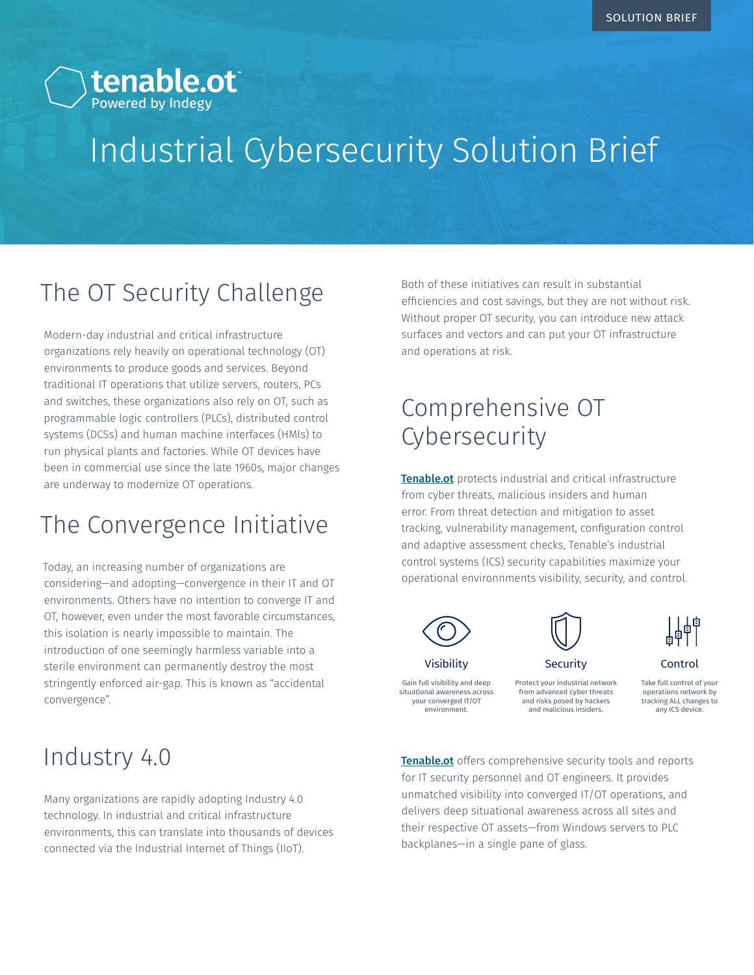

# Industrial Cybersecurity Solution Brief

## The OT Security Challenge

Modern-day industrial and critical infrastructure organizations rely heavily on operational technology (OT) environments to produce goods and services. Beyond traditional IT operations that utilize servers, routers, PCs and switches, these organizations also rely on OT, such as programmable logic controllers (PLCs), distributed control systems (DCSs) and human machine interfaces (HMIs) to run physical plants and factories. While OT devices have been in commercial use since the late 1960s, major changes are underway to modernize OT operations.

### The Convergence Initiative

Today, an increasing number of organizations are considering—and adopting—convergence in their IT and OT environments. Others have no intention to converge IT and OT, however, even under the most favorable circumstances, this isolation is nearly impossible to maintain. The introduction of one seemingly harmless variable into a sterile environment can permanently destroy the most stringently enforced air-gap. This is known as "accidental convergence".

Both of these initiatives can result in substantial efficiencies and cost savings, but they are not without risk. Without proper OT security, you can introduce new attack surfaces and vectors and can put your OT infrastructure and operations at risk.

# Comprehensive OT **Cybersecurity**

**Tenable.ot** protects industrial and critical infrastructure from cyber threats, malicious insiders and human error. From threat detection and mitigation to asset tracking, vulnerability management, configuration control and adaptive assessment checks, Tenable's industrial control systems (ICS) security capabilities maximize your operational environnments visibility, security, and control.



your converged IT/OT environment.



Protect your industrial network from advanced cyber threats and risks posed by hackers and malicious insiders.



Control

Take full control of your operations network by tracking ALL changes to any ICS device.

## Industry 4.0

Many organizations are rapidly adopting Industry 4.0 technology. In industrial and critical infrastructure environments, this can translate into thousands of devices connected via the Industrial Internet of Things (IIoT).

**Tenable.ot** offers comprehensive security tools and reports for IT security personnel and OT engineers. It provides unmatched visibility into converged IT/OT operations, and delivers deep situational awareness across all sites and their respective OT assets—from Windows servers to PLC backplanes—in a single pane of glass.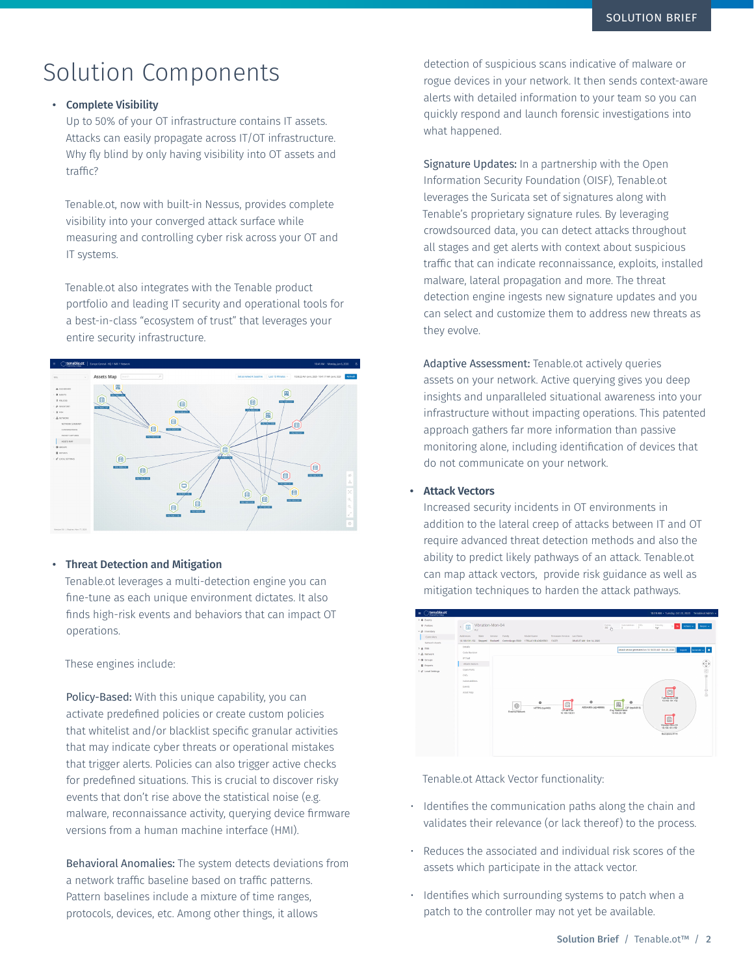## Solution Components

#### • Complete Visibility

Up to 50% of your OT infrastructure contains IT assets. Attacks can easily propagate across IT/OT infrastructure. Why fly blind by only having visibility into OT assets and traffic?

Tenable.ot, now with built-in Nessus, provides complete visibility into your converged attack surface while measuring and controlling cyber risk across your OT and IT systems.

Tenable.ot also integrates with the Tenable product portfolio and leading IT security and operational tools for a best-in-class "ecosystem of trust" that leverages your entire security infrastructure.



#### • Threat Detection and Mitigation

Tenable.ot leverages a multi-detection engine you can fine-tune as each unique environment dictates. It also finds high-risk events and behaviors that can impact OT operations.

These engines include:

Policy-Based: With this unique capability, you can activate predefined policies or create custom policies that whitelist and/or blacklist specific granular activities that may indicate cyber threats or operational mistakes that trigger alerts. Policies can also trigger active checks for predefined situations. This is crucial to discover risky events that don't rise above the statistical noise (e.g. malware, reconnaissance activity, querying device firmware versions from a human machine interface (HMI).

Behavioral Anomalies: The system detects deviations from a network traffic baseline based on traffic patterns. Pattern baselines include a mixture of time ranges, protocols, devices, etc. Among other things, it allows

detection of suspicious scans indicative of malware or rogue devices in your network. It then sends context-aware alerts with detailed information to your team so you can quickly respond and launch forensic investigations into what happened.

Signature Updates: In a partnership with the Open Information Security Foundation (OISF), Tenable.ot leverages the Suricata set of signatures along with Tenable's proprietary signature rules. By leveraging crowdsourced data, you can detect attacks throughout all stages and get alerts with context about suspicious traffic that can indicate reconnaissance, exploits, installed malware, lateral propagation and more. The threat detection engine ingests new signature updates and you can select and customize them to address new threats as they evolve.

Adaptive Assessment: Tenable.ot actively queries assets on your network. Active querying gives you deep insights and unparalleled situational awareness into your infrastructure without impacting operations. This patented approach gathers far more information than passive monitoring alone, including identification of devices that do not communicate on your network.

#### **• Attack Vectors**

Increased security incidents in OT environments in addition to the lateral creep of attacks between IT and OT require advanced threat detection methods and also the ability to predict likely pathways of an attack. Tenable.ot can map attack vectors, provide risk guidance as well as mitigation techniques to harden the attack pathways.



Tenable.ot Attack Vector functionality:

- Identifies the communication paths along the chain and validates their relevance (or lack thereof) to the process.
- Reduces the associated and individual risk scores of the assets which participate in the attack vector.
- Identifies which surrounding systems to patch when a patch to the controller may not yet be available.